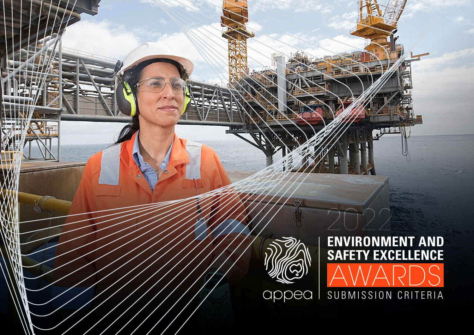

### 2022 **ENVIRONMENT AND SAFETY EXCELLENCE** AWARDS SUBMISSION CRITERIA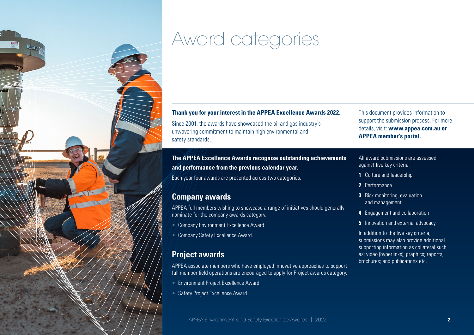

## Award categories

#### **Thank you for your interest in the APPEA Excellence Awards 2022.**

Since 2001, the awards have showcased the oil and gas industry's unwavering commitment to maintain high environmental and safety standards.

**The APPEA Excellence Awards recognise outstanding achievements and performance from the previous calendar year.** 

Each year four awards are presented across two categories.

#### **Company awards**

APPEA full members wishing to showcase a range of initiatives should generally nominate for the company awards category.

- Company Environment Excellence Award
- **Company Safety Excellence Award.**

#### **Project awards**

APPEA associate members who have employed innovative approaches to support full member field operations are encouraged to apply for Project awards category.

- Environment Project Excellence Award
- Safety Project Excellence Award.

This document provides information to support the submission process. For more details, visit: **[www.appea.com.au](http://www.appea.com.au) or APPEA member's portal.**

#### All award submissions are assessed against five key criteria:

- **1** Culture and leadership
- **2** Performance
- **3** Risk monitoring, evaluation and management
- **4** Engagement and collaboration
- **5** Innovation and external advocacy

In addition to the five key criteria, submissions may also provide additional supporting information as collateral such as: video (hyperlinks); graphics; reports; brochures; and publications etc.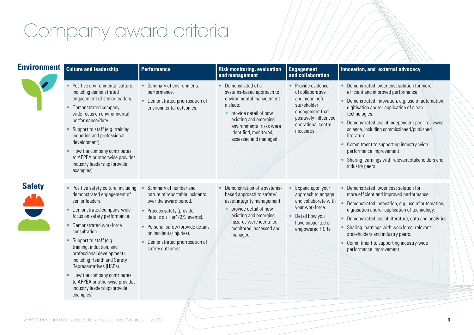# Company award criteria

|               | <b>Environment</b> Culture and leadership                                                                                                                                                                                                                                                                                                                                                                                                                                   | <b>Performance</b>                                                                                                                                                                                                                                                     | <b>Risk monitoring, evaluation</b><br>and management                                                                                                                                                                      | <b>Engagement</b><br>and collaboration                                                                                                                  | Innovation, and external advocacy                                                                                                                                                                                                                                                                                                                                                                                                                                                         |
|---------------|-----------------------------------------------------------------------------------------------------------------------------------------------------------------------------------------------------------------------------------------------------------------------------------------------------------------------------------------------------------------------------------------------------------------------------------------------------------------------------|------------------------------------------------------------------------------------------------------------------------------------------------------------------------------------------------------------------------------------------------------------------------|---------------------------------------------------------------------------------------------------------------------------------------------------------------------------------------------------------------------------|---------------------------------------------------------------------------------------------------------------------------------------------------------|-------------------------------------------------------------------------------------------------------------------------------------------------------------------------------------------------------------------------------------------------------------------------------------------------------------------------------------------------------------------------------------------------------------------------------------------------------------------------------------------|
|               | Positive environmental culture,<br>including demonstrated<br>engagement of senior leaders.<br>Demonstrated company-<br>$\bullet$<br>wide focus on environmental<br>performance/duty.<br>• Support to staff (e.g. training,<br>induction and professional<br>development).<br>• How the company contributes<br>to APPEA or otherwise provides<br>industry leadership (provide<br>examples).                                                                                  | Summary of environmental<br>performance.<br>• Demonstrated prioritisation of<br>environmental outcomes.                                                                                                                                                                | • Demonstrated of a<br>systems-based approach to<br>environmental management<br>include:<br>provide detail of how<br>existing and emerging<br>environmental risks were<br>identified, monitored,<br>assessed and managed. | • Provide evidence<br>of collaborative<br>and meaningful<br>stakeholder<br>engagement that<br>positively influenced<br>operational control<br>measures. | • Demonstrated lower cost solution for more<br>efficient and improved performance.<br>• Demonstrated innovation, e.g. use of automation,<br>digitisation and/or application of clean<br>technologies.<br>Demonstrated use of independent peer-reviewed<br>science, including commissioned/published<br>literature.<br>Commitment to supporting industry-wide<br>$\bullet$<br>performance improvement.<br>Sharing learnings with relevant stakeholders and<br>$\bullet$<br>industry peers. |
| <b>Safety</b> | • Positive safety culture, including<br>demonstrated engagement of<br>senior leaders.<br>Demonstrated company-wide<br>focus on safety performance.<br>• Demonstrated workforce<br>consultation.<br>Support to staff (e.g.<br>$\bullet$<br>training, induction, and<br>professional development),<br>including Health and Safety<br>Representatives (HSRs).<br>• How the company contributes<br>to APPEA or otherwise provides<br>industry leadership (provide<br>examples). | Summary of number and<br>nature of reportable incidents<br>over the award period.<br>• Process safety (provide<br>details on Tier1/2/3 events).<br>• Personal safety (provide details<br>on incidents/injuries).<br>Demonstrated prioritisation of<br>safety outcomes. | Demonstration of a systems-<br>$\bullet$<br>based approach to safety/<br>asset integrity management.<br>provide detail of how<br>existing and emerging<br>hazards were identified,<br>monitored, assessed and<br>managed. | Expand upon your<br>approach to engage<br>and collaborate with<br>your workforce.<br>• Detail how you<br>have supported or<br>empowered HSRs.           | • Demonstrated lower cost solution for<br>more efficient and improved performance.<br>Demonstrated innovation, e.g. use of automation,<br>$\bullet$<br>digitisation and/or application of technology.<br>• Demonstrated use of literature, data and analytics.<br>Sharing learnings with workforce, relevant<br>$\bullet$<br>stakeholders and industry peers.<br>Commitment to supporting industry-wide<br>performance improvement.                                                       |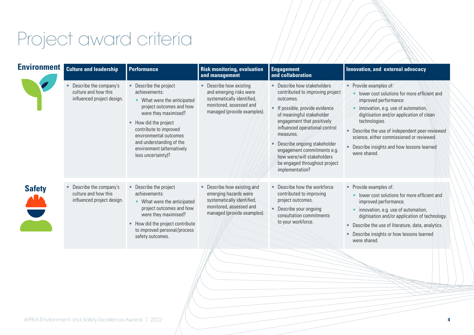## Project award criteria

| <b>Environment</b> | <b>Culture and leadership</b>                                                | <b>Performance</b>                                                                                                                                                                                                                                                                    | <b>Risk monitoring, evaluation</b><br>and management                                                                                       | <b>Engagement</b><br>and collaboration                                                                                                                                                                                                                                                                                                                                          | Innovation, and external advocacy                                                                                                                                                                                                                                                                                                                                         |
|--------------------|------------------------------------------------------------------------------|---------------------------------------------------------------------------------------------------------------------------------------------------------------------------------------------------------------------------------------------------------------------------------------|--------------------------------------------------------------------------------------------------------------------------------------------|---------------------------------------------------------------------------------------------------------------------------------------------------------------------------------------------------------------------------------------------------------------------------------------------------------------------------------------------------------------------------------|---------------------------------------------------------------------------------------------------------------------------------------------------------------------------------------------------------------------------------------------------------------------------------------------------------------------------------------------------------------------------|
|                    | Describe the company's<br>culture and how this<br>influenced project design. | Describe the project<br>achievements:<br>• What were the anticipated<br>project outcomes and how<br>were they maximised?<br>• How did the project<br>contribute to improved<br>environmental outcomes<br>and understanding of the<br>environment (alternatively<br>less uncertainty)? | • Describe how existing<br>and emerging risks were<br>systematically identified,<br>monitored, assessed and<br>managed (provide examples). | • Describe how stakeholders<br>contributed to improving project<br>outcomes.<br>• If possible, provide evidence<br>of meaningful stakeholder<br>engagement that positively<br>influenced operational control<br>measures.<br>Describe ongoing stakeholder<br>۰<br>engagement commitments e.g.<br>how were/will stakeholders<br>be engaged throughout project<br>implementation? | • Provide examples of:<br>lower cost solutions for more efficient and<br>improved performance<br>innovation, e.g. use of automation,<br>digitisation and/or application of clean<br>technologies.<br>Describe the use of independent peer-reviewed<br>science, either commissioned or reviewed.<br>Describe insights and how lessons learned<br>$\bullet$<br>were shared. |
| <b>Safety</b>      | Describe the company's<br>culture and how this<br>influenced project design. | Describe the project<br>achievements:<br>• What were the anticipated<br>project outcomes and how<br>were they maximised?<br>• How did the project contribute<br>to improved personal/process<br>safety outcomes.                                                                      | Describe how existing and<br>emerging hazards were<br>systematically identified,<br>monitored, assessed and<br>managed (provide examples). | • Describe how the workforce<br>contributed to improving<br>project outcomes.<br>• Describe your ongoing<br>consultation commitments<br>to your workforce.                                                                                                                                                                                                                      | • Provide examples of:<br>lower cost solutions for more efficient and<br>improved performance.<br>innovation, e.g. use of automation,<br>digitisation and/or application of technology.<br>Describe the use of literature, data, analytics.<br>$\bullet$<br>Describe insights or how lessons learned<br>$\bullet$<br>were shared.                                         |
|                    |                                                                              |                                                                                                                                                                                                                                                                                       |                                                                                                                                            |                                                                                                                                                                                                                                                                                                                                                                                 |                                                                                                                                                                                                                                                                                                                                                                           |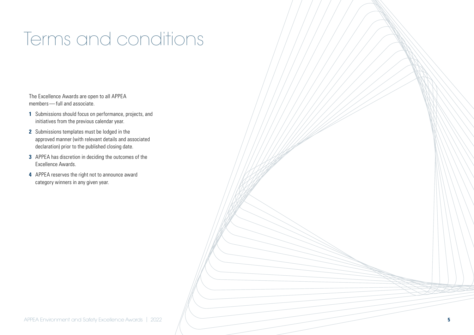### Terms and conditions

The Excellence Awards are open to all APPEA members—full and associate.

- **1** Submissions should focus on performance, projects, and initiatives from the previous calendar year.
- **2** Submissions templates must be lodged in the approved manner (with relevant details and associated declaration) prior to the published closing date.
- **3** APPEA has discretion in deciding the outcomes of the Excellence Awards.
- **4** APPEA reserves the right not to announce award category winners in any given year.